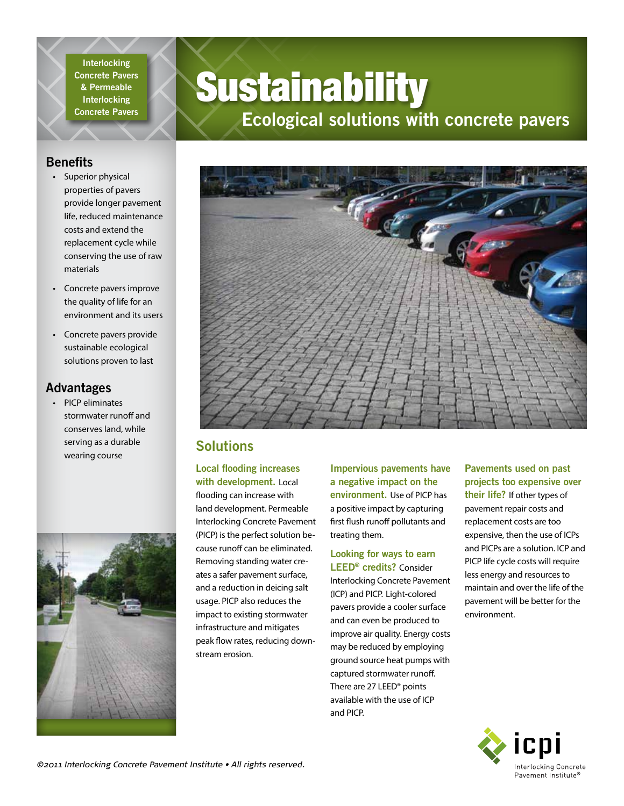**Interlocking Concrete Pavers & Permeable Interlocking Concrete Pavers**

# **Sustainability**

## **Ecological solutions with concrete pavers**

#### **Benefits**

- Superior physical properties of pavers provide longer pavement life, reduced maintenance costs and extend the replacement cycle while conserving the use of raw materials
- Concrete pavers improve the quality of life for an environment and its users
- Concrete pavers provide sustainable ecological solutions proven to last

#### **Advantages**

• PICP eliminates stormwater runoff and conserves land, while serving as a durable wearing course





### **Solutions**

#### **Local flooding increases with development.** Local

flooding can increase with land development. Permeable Interlocking Concrete Pavement (PICP) is the perfect solution because runoff can be eliminated. Removing standing water creates a safer pavement surface, and a reduction in deicing salt usage. PICP also reduces the impact to existing stormwater infrastructure and mitigates peak flow rates, reducing downstream erosion.

**Impervious pavements have a negative impact on the environment.** Use of PICP has a positive impact by capturing first flush runoff pollutants and treating them.

## **Looking for ways to earn**

**LEED® credits?** Consider Interlocking Concrete Pavement (ICP) and PICP. Light-colored pavers provide a cooler surface and can even be produced to improve air quality. Energy costs may be reduced by employing ground source heat pumps with captured stormwater runoff. There are 27 LEED® points available with the use of ICP and PICP.

#### **Pavements used on past projects too expensive over their life?** If other types of pavement repair costs and replacement costs are too expensive, then the use of ICPs and PICPs are a solution. ICP and PICP life cycle costs will require less energy and resources to maintain and over the life of the pavement will be better for the environment.